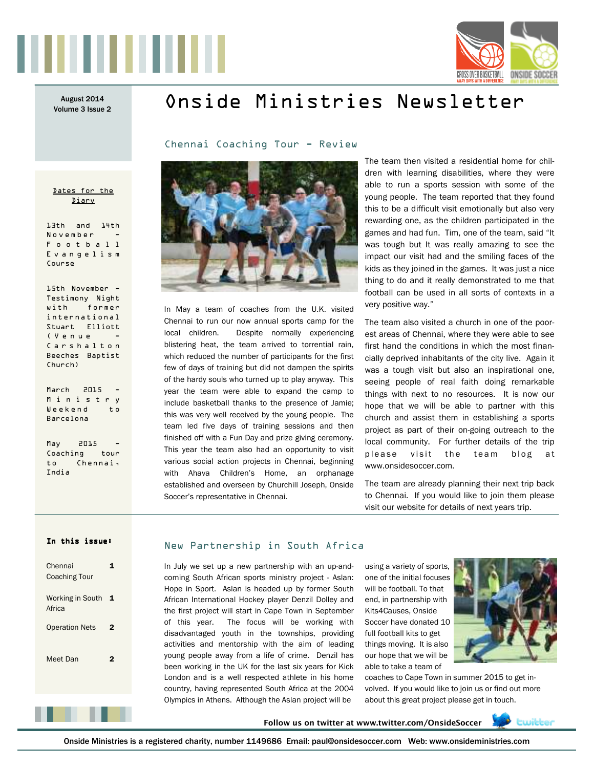



Volume 3 Issue 2

Dates for the Diary

13th and 14th November F o o t b a l l E v a n g e l i s m

15th November - Testimony Night with former international Stuart Elliott  $(V_{P}n_{P}n_{P})$ C a r s h a l t o n Beeches Baptist

Course

Church)

March 2015 M i n i s t r y Weekend to Barcelona

 $May$   $2015$ Coaching tour to Chennai,

India

# August 2014 **Onside Ministries Newsletter**

Chennai Coaching Tour - Review



In May a team of coaches from the U.K. visited Chennai to run our now annual sports camp for the local children. Despite normally experiencing blistering heat, the team arrived to torrential rain, which reduced the number of participants for the first few of days of training but did not dampen the spirits of the hardy souls who turned up to play anyway. This year the team were able to expand the camp to include basketball thanks to the presence of Jamie; this was very well received by the young people. The team led five days of training sessions and then finished off with a Fun Day and prize giving ceremony. This year the team also had an opportunity to visit various social action projects in Chennai, beginning with Ahava Children's Home, an orphanage established and overseen by Churchill Joseph, Onside Soccer's representative in Chennai.

The team then visited a residential home for children with learning disabilities, where they were able to run a sports session with some of the young people. The team reported that they found this to be a difficult visit emotionally but also very rewarding one, as the children participated in the games and had fun. Tim, one of the team, said "It was tough but It was really amazing to see the impact our visit had and the smiling faces of the kids as they joined in the games. It was just a nice thing to do and it really demonstrated to me that football can be used in all sorts of contexts in a very positive way."

The team also visited a church in one of the poorest areas of Chennai, where they were able to see first hand the conditions in which the most financially deprived inhabitants of the city live. Again it was a tough visit but also an inspirational one, seeing people of real faith doing remarkable things with next to no resources. It is now our hope that we will be able to partner with this church and assist them in establishing a sports project as part of their on-going outreach to the local community. For further details of the trip please visit the team blog at www.onsidesoccer.com.

The team are already planning their next trip back to Chennai. If you would like to join them please visit our website for details of next years trip.

### In this issue:

| Chennai<br><b>Coaching Tour</b> |   |
|---------------------------------|---|
| Working in South<br>Africa      | 1 |
| <b>Operation Nets</b>           | 2 |
| Meet Dan                        | 2 |
|                                 |   |
|                                 |   |
|                                 |   |

### New Partnership in South Africa

In July we set up a new partnership with an up-andcoming South African sports ministry project - Aslan: Hope in Sport. Aslan is headed up by former South African International Hockey player Denzil Dolley and the first project will start in Cape Town in September of this year. The focus will be working with disadvantaged youth in the townships, providing activities and mentorship with the aim of leading young people away from a life of crime. Denzil has been working in the UK for the last six years for Kick London and is a well respected athlete in his home country, having represented South Africa at the 2004 Olympics in Athens. Although the Aslan project will be

using a variety of sports, one of the initial focuses will be football. To that end, in partnership with Kits4Causes, Onside Soccer have donated 10 full football kits to get things moving. It is also our hope that we will be able to take a team of



coaches to Cape Town in summer 2015 to get involved. If you would like to join us or find out more about this great project please get in touch.

**Follow us on twitter at www.twitter.com/OnsideSoccer** 



Onside Ministries is a registered charity, number 1149686 Email: paul@onsidesoccer.com Web: www.onsideministries.com